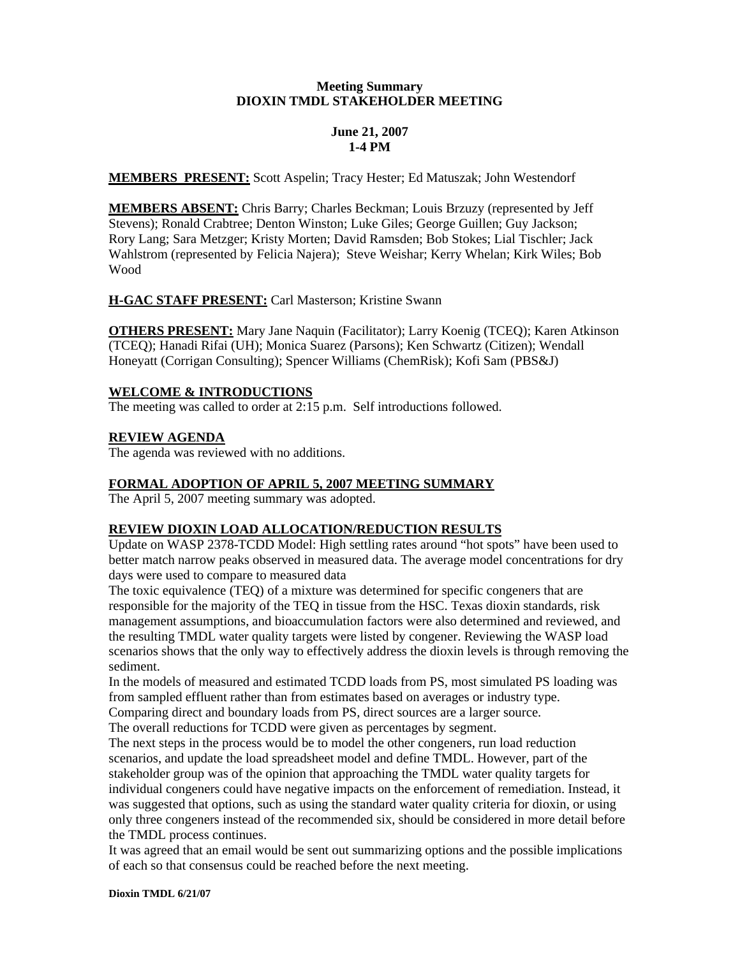# **Meeting Summary DIOXIN TMDL STAKEHOLDER MEETING**

# **June 21, 2007 1-4 PM**

**MEMBERS PRESENT:** Scott Aspelin; Tracy Hester; Ed Matuszak; John Westendorf

**MEMBERS ABSENT:** Chris Barry; Charles Beckman; Louis Brzuzy (represented by Jeff Stevens); Ronald Crabtree; Denton Winston; Luke Giles; George Guillen; Guy Jackson; Rory Lang; Sara Metzger; Kristy Morten; David Ramsden; Bob Stokes; Lial Tischler; Jack Wahlstrom (represented by Felicia Najera); Steve Weishar; Kerry Whelan; Kirk Wiles; Bob Wood

# **H-GAC STAFF PRESENT:** Carl Masterson; Kristine Swann

**OTHERS PRESENT:** Mary Jane Naquin (Facilitator); Larry Koenig (TCEQ); Karen Atkinson (TCEQ); Hanadi Rifai (UH); Monica Suarez (Parsons); Ken Schwartz (Citizen); Wendall Honeyatt (Corrigan Consulting); Spencer Williams (ChemRisk); Kofi Sam (PBS&J)

## **WELCOME & INTRODUCTIONS**

The meeting was called to order at 2:15 p.m. Self introductions followed.

## **REVIEW AGENDA**

The agenda was reviewed with no additions.

# **FORMAL ADOPTION OF APRIL 5, 2007 MEETING SUMMARY**

The April 5, 2007 meeting summary was adopted.

# **REVIEW DIOXIN LOAD ALLOCATION/REDUCTION RESULTS**

Update on WASP 2378-TCDD Model: High settling rates around "hot spots" have been used to better match narrow peaks observed in measured data. The average model concentrations for dry days were used to compare to measured data

The toxic equivalence (TEQ) of a mixture was determined for specific congeners that are responsible for the majority of the TEQ in tissue from the HSC. Texas dioxin standards, risk management assumptions, and bioaccumulation factors were also determined and reviewed, and the resulting TMDL water quality targets were listed by congener. Reviewing the WASP load scenarios shows that the only way to effectively address the dioxin levels is through removing the sediment.

In the models of measured and estimated TCDD loads from PS, most simulated PS loading was from sampled effluent rather than from estimates based on averages or industry type. Comparing direct and boundary loads from PS, direct sources are a larger source.

The overall reductions for TCDD were given as percentages by segment.

The next steps in the process would be to model the other congeners, run load reduction scenarios, and update the load spreadsheet model and define TMDL. However, part of the stakeholder group was of the opinion that approaching the TMDL water quality targets for individual congeners could have negative impacts on the enforcement of remediation. Instead, it was suggested that options, such as using the standard water quality criteria for dioxin, or using only three congeners instead of the recommended six, should be considered in more detail before the TMDL process continues.

It was agreed that an email would be sent out summarizing options and the possible implications of each so that consensus could be reached before the next meeting.